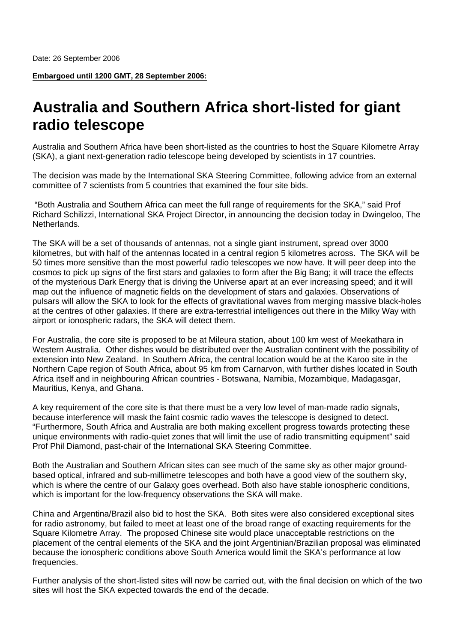**Embargoed until 1200 GMT, 28 September 2006:**

## **Australia and Southern Africa short-listed for giant radio telescope**

Australia and Southern Africa have been short-listed as the countries to host the Square Kilometre Array (SKA), a giant next-generation radio telescope being developed by scientists in 17 countries.

The decision was made by the International SKA Steering Committee, following advice from an external committee of 7 scientists from 5 countries that examined the four site bids.

 "Both Australia and Southern Africa can meet the full range of requirements for the SKA," said Prof Richard Schilizzi, International SKA Project Director, in announcing the decision today in Dwingeloo, The Netherlands.

The SKA will be a set of thousands of antennas, not a single giant instrument, spread over 3000 kilometres, but with half of the antennas located in a central region 5 kilometres across. The SKA will be 50 times more sensitive than the most powerful radio telescopes we now have. It will peer deep into the cosmos to pick up signs of the first stars and galaxies to form after the Big Bang; it will trace the effects of the mysterious Dark Energy that is driving the Universe apart at an ever increasing speed; and it will map out the influence of magnetic fields on the development of stars and galaxies. Observations of pulsars will allow the SKA to look for the effects of gravitational waves from merging massive black-holes at the centres of other galaxies. If there are extra-terrestrial intelligences out there in the Milky Way with airport or ionospheric radars, the SKA will detect them.

For Australia, the core site is proposed to be at Mileura station, about 100 km west of Meekathara in Western Australia. Other dishes would be distributed over the Australian continent with the possibility of extension into New Zealand. In Southern Africa, the central location would be at the Karoo site in the Northern Cape region of South Africa, about 95 km from Carnarvon, with further dishes located in South Africa itself and in neighbouring African countries - Botswana, Namibia, Mozambique, Madagasgar, Mauritius, Kenya, and Ghana.

A key requirement of the core site is that there must be a very low level of man-made radio signals, because interference will mask the faint cosmic radio waves the telescope is designed to detect. "Furthermore, South Africa and Australia are both making excellent progress towards protecting these unique environments with radio-quiet zones that will limit the use of radio transmitting equipment" said Prof Phil Diamond, past-chair of the International SKA Steering Committee.

Both the Australian and Southern African sites can see much of the same sky as other major groundbased optical, infrared and sub-millimetre telescopes and both have a good view of the southern sky, which is where the centre of our Galaxy goes overhead. Both also have stable ionospheric conditions, which is important for the low-frequency observations the SKA will make.

China and Argentina/Brazil also bid to host the SKA. Both sites were also considered exceptional sites for radio astronomy, but failed to meet at least one of the broad range of exacting requirements for the Square Kilometre Array. The proposed Chinese site would place unacceptable restrictions on the placement of the central elements of the SKA and the joint Argentinian/Brazilian proposal was eliminated because the ionospheric conditions above South America would limit the SKA's performance at low frequencies.

Further analysis of the short-listed sites will now be carried out, with the final decision on which of the two sites will host the SKA expected towards the end of the decade.